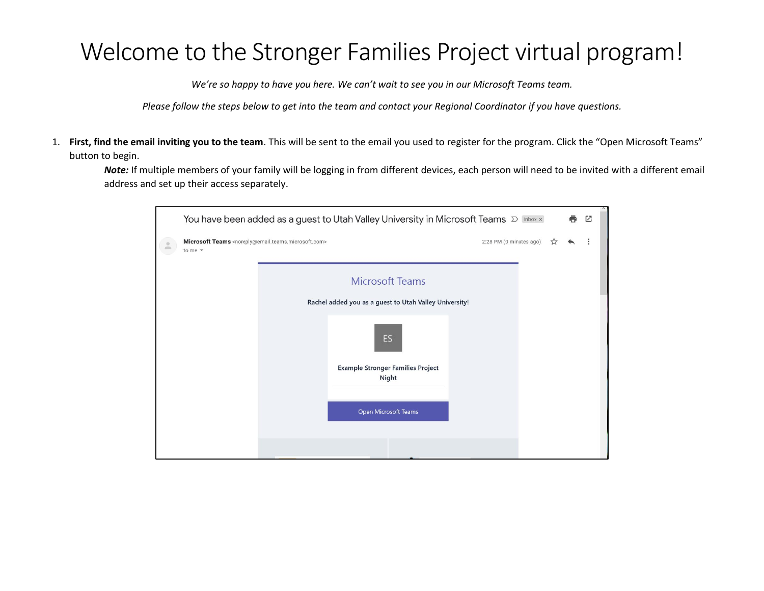## Welcome to the Stronger Families Project virtual program!

*We're so happy to have you here. We can't wait to see you in our Microsoft Teams team.* 

*Please follow the steps below to get into the team and contact your Regional Coordinator if you have questions.*

1. **First, find the email inviting you to the team**. This will be sent to the email you used to register for the program. Click the "Open Microsoft Teams" button to begin.

*Note:* If multiple members of your family will be logging in from different devices, each person will need to be invited with a different email address and set up their access separately.

| You have been added as a guest to Utah Valley University in Microsoft Teams D Inbox x                                   |                                                        |    |  |  |  |  |
|-------------------------------------------------------------------------------------------------------------------------|--------------------------------------------------------|----|--|--|--|--|
| Microsoft Teams <noreply@email.teams.microsoft.com><br/>to me <math>\sqrt{*}</math></noreply@email.teams.microsoft.com> | 2:28 PM (0 minutes ago)                                | 53 |  |  |  |  |
|                                                                                                                         | <b>Microsoft Teams</b>                                 |    |  |  |  |  |
|                                                                                                                         | Rachel added you as a guest to Utah Valley University! |    |  |  |  |  |
|                                                                                                                         | ES                                                     |    |  |  |  |  |
|                                                                                                                         | <b>Example Stronger Families Project</b><br>Night      |    |  |  |  |  |
|                                                                                                                         |                                                        |    |  |  |  |  |
|                                                                                                                         | Open Microsoft Teams                                   |    |  |  |  |  |
|                                                                                                                         |                                                        |    |  |  |  |  |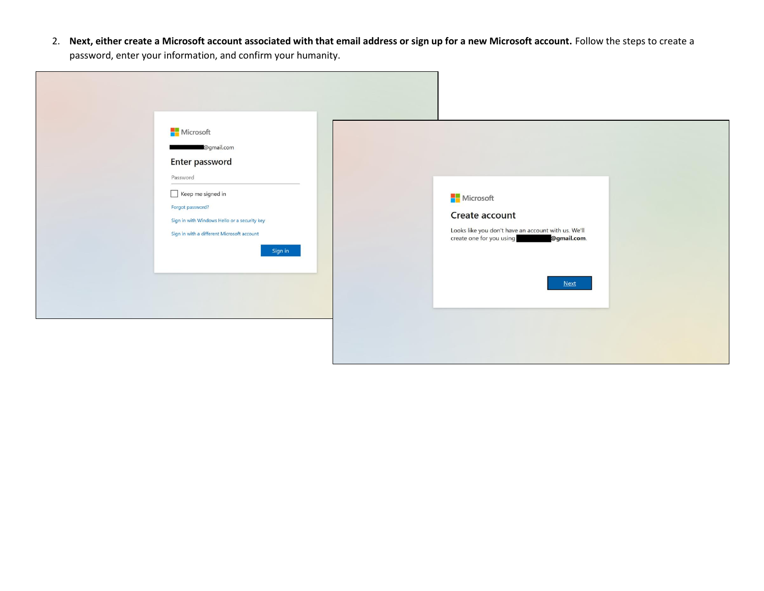2. **Next, either create a Microsoft account associated with that email address or sign up for a new Microsoft account.** Follow the steps to create a password, enter your information, and confirm your humanity.

| <b>Nicrosoft</b><br>Forgot password?<br>Create account<br>Sign in with Windows Hello or a security key<br>Looks like you don't have an account with us. We'll<br>Sign in with a different Microsoft account<br>create one for you using<br>@gmail.com.<br>Sign in<br><b>Next</b> |
|----------------------------------------------------------------------------------------------------------------------------------------------------------------------------------------------------------------------------------------------------------------------------------|
|----------------------------------------------------------------------------------------------------------------------------------------------------------------------------------------------------------------------------------------------------------------------------------|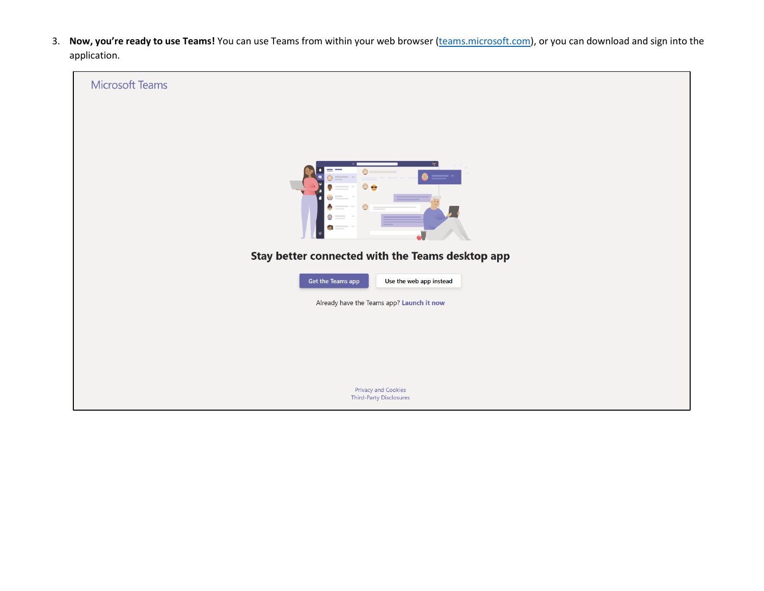3. Now, you're ready to use Teams! You can use Teams from within your web browser [\(teams.microsoft.com\)](https://teams.microsoft.com/), or you can download and sign into the application.

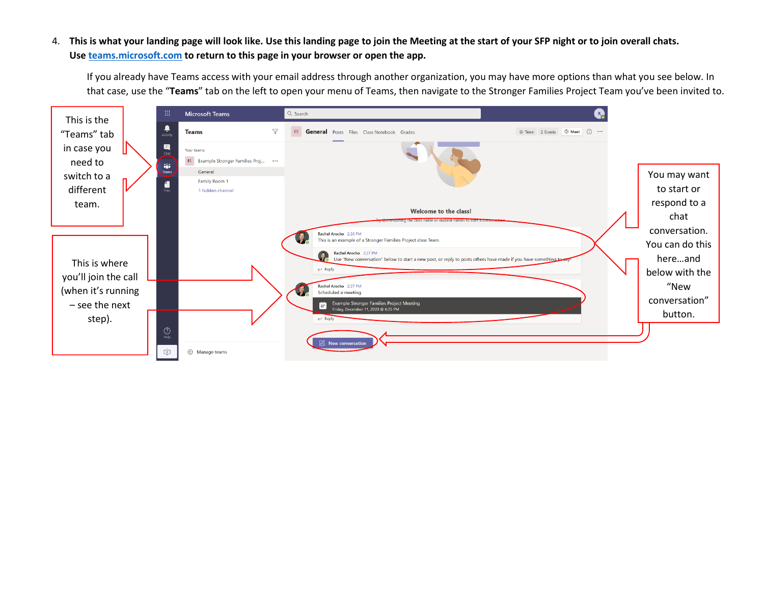## 4. **This is what your landing page will look like. Use this landing page to join the Meeting at the start of your SFP night or to join overall chats. Us[e teams.microsoft.com](https://teams.microsoft.com/) to return to this page in your browser or open the app.**

If you already have Teams access with your email address through another organization, you may have more options than what you see below. In that case, use the "**Teams**" tab on the left to open your menu of Teams, then navigate to the Stronger Families Project Team you've been invited to.

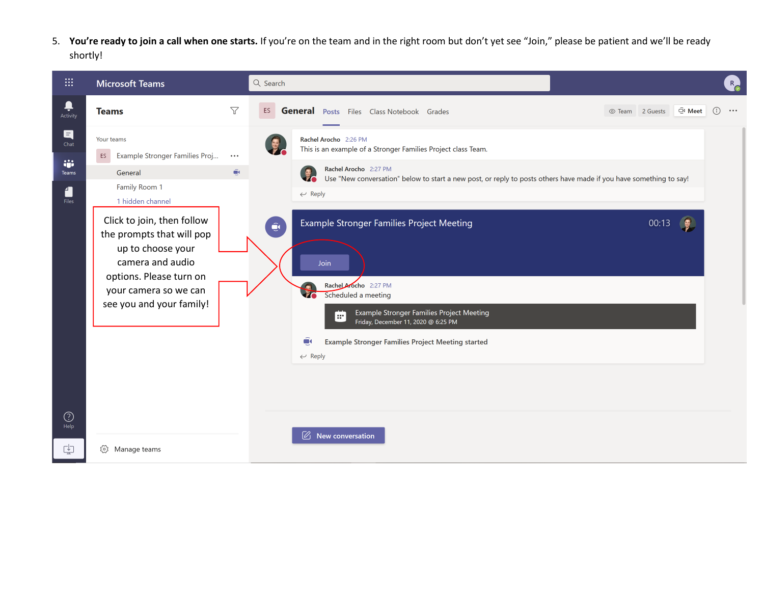5. **You're ready to join a call when one starts.** If you're on the team and in the right room but don't yet see "Join," please be patient and we'll be ready shortly!

| :::                                                    | <b>Microsoft Teams</b>                                                                                                                                                                                 |                                     | Q Search                                                                                             |                                                                                                                                                                                                                                  |                 |                                          | R                                           |
|--------------------------------------------------------|--------------------------------------------------------------------------------------------------------------------------------------------------------------------------------------------------------|-------------------------------------|------------------------------------------------------------------------------------------------------|----------------------------------------------------------------------------------------------------------------------------------------------------------------------------------------------------------------------------------|-----------------|------------------------------------------|---------------------------------------------|
| Ļ<br>Activity                                          | <b>Teams</b>                                                                                                                                                                                           | $\triangledown$                     | ES<br><b>General</b> Posts Files Class Notebook Grades                                               |                                                                                                                                                                                                                                  | © Team 2 Guests | $\widehat{\mathbb{C}}$ <sup>0</sup> Meet | $\bigcirc$<br>$\bullet$ $\bullet$ $\bullet$ |
| $\blacksquare$<br>Chat<br>iji<br><b>Teams</b><br>Files | Your teams<br>Example Stronger Families Proj<br>ES<br>General<br>Family Room 1<br>1 hidden channel<br>Click to join, then follow<br>the prompts that will pop<br>up to choose your<br>camera and audio | $\bullet$ $\bullet$ $\bullet$<br>ûκ | Rachel Arocho 2:26 PM<br>Rachel Arocho 2:27 PM<br>$\leftarrow$ Reply<br>$\hat{\mathbf{Q}}$<br>Join   | This is an example of a Stronger Families Project class Team.<br>Use "New conversation" below to start a new post, or reply to posts others have made if you have something to say!<br>Example Stronger Families Project Meeting |                 | 00:13                                    |                                             |
|                                                        | options. Please turn on<br>your camera so we can<br>see you and your family!                                                                                                                           |                                     | Rachel Arocho 2:27 PM<br>Scheduled a meeting<br>l ar i<br>$\tilde{\mathbf{u}}$<br>$\leftarrow$ Reply | Example Stronger Families Project Meeting<br>Friday, December 11, 2020 @ 6:25 PM<br><b>Example Stronger Families Project Meeting started</b>                                                                                     |                 |                                          |                                             |
| $\odot$<br>Help                                        |                                                                                                                                                                                                        |                                     | $\varnothing$ New conversation                                                                       |                                                                                                                                                                                                                                  |                 |                                          |                                             |
| 中                                                      | છે<br>Manage teams                                                                                                                                                                                     |                                     |                                                                                                      |                                                                                                                                                                                                                                  |                 |                                          |                                             |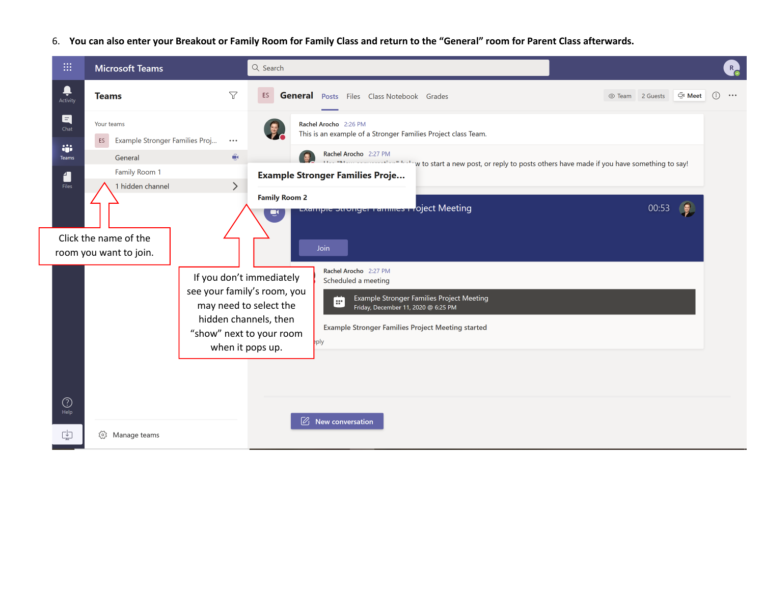6. **You can also enter your Breakout or Family Room for Family Class and return to the "General" room for Parent Class afterwards.**